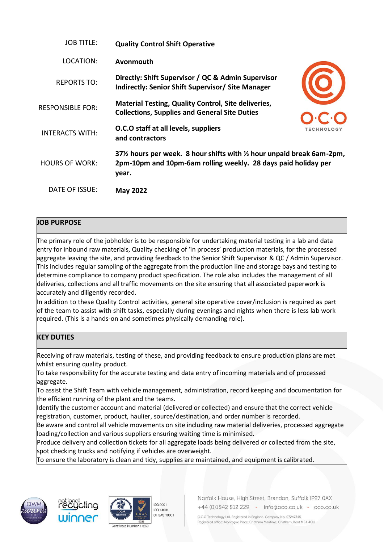| <b>JOB TITLE:</b>       | <b>Quality Control Shift Operative</b>                                                                                                         |                   |
|-------------------------|------------------------------------------------------------------------------------------------------------------------------------------------|-------------------|
| LOCATION:               | Avonmouth                                                                                                                                      |                   |
| <b>REPORTS TO:</b>      | Directly: Shift Supervisor / QC & Admin Supervisor<br>Indirectly: Senior Shift Supervisor/ Site Manager                                        |                   |
| <b>RESPONSIBLE FOR:</b> | <b>Material Testing, Quality Control, Site deliveries,</b><br><b>Collections, Supplies and General Site Duties</b>                             |                   |
| <b>INTERACTS WITH:</b>  | O.C.O staff at all levels, suppliers<br>and contractors                                                                                        | <b>TECHNOLOGY</b> |
| <b>HOURS OF WORK:</b>   | 37% hours per week. 8 hour shifts with % hour unpaid break 6am-2pm,<br>2pm-10pm and 10pm-6am rolling weekly. 28 days paid holiday per<br>year. |                   |
| DATE OF ISSUE:          | <b>May 2022</b>                                                                                                                                |                   |

## **JOB PURPOSE**

The primary role of the jobholder is to be responsible for undertaking material testing in a lab and data entry for inbound raw materials, Quality checking of 'in process' production materials, for the processed aggregate leaving the site, and providing feedback to the Senior Shift Supervisor & QC / Admin Supervisor. This includes regular sampling of the aggregate from the production line and storage bays and testing to determine compliance to company product specification. The role also includes the management of all deliveries, collections and all traffic movements on the site ensuring that all associated paperwork is accurately and diligently recorded.

In addition to these Quality Control activities, general site operative cover/inclusion is required as part of the team to assist with shift tasks, especially during evenings and nights when there is less lab work required. (This is a hands-on and sometimes physically demanding role).

## **KEY DUTIES**

Receiving of raw materials, testing of these, and providing feedback to ensure production plans are met whilst ensuring quality product.

To take responsibility for the accurate testing and data entry of incoming materials and of processed aggregate.

To assist the Shift Team with vehicle management, administration, record keeping and documentation for the efficient running of the plant and the teams.

Identify the customer account and material (delivered or collected) and ensure that the correct vehicle registration, customer, product, haulier, source/destination, and order number is recorded.

Be aware and control all vehicle movements on site including raw material deliveries, processed aggregate loading/collection and various suppliers ensuring waiting time is minimised.

Produce delivery and collection tickets for all aggregate loads being delivered or collected from the site, spot checking trucks and notifying if vehicles are overweight.

To ensure the laboratory is clean and tidy, supplies are maintained, and equipment is calibrated.









Norfolk House, High Street, Brandon, Suffolk IP27 0AX +44 (0)1842 812 229 - info@oco.co.uk - oco.co.uk

O.C.O Technology Ltd. Registered in England. Company No: 07247345 Registered office: Montague Place, Chatham Maritime, Chatham, Kent ME4 4QU